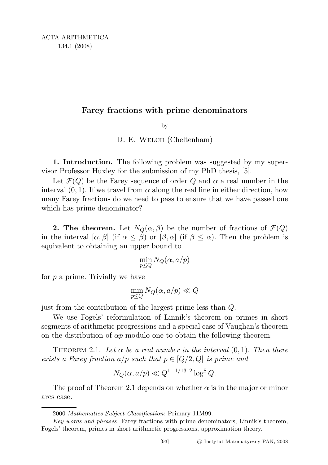## Farey fractions with prime denominators

by

D. E. WELCH (Cheltenham)

1. Introduction. The following problem was suggested by my supervisor Professor Huxley for the submission of my PhD thesis, [5].

Let  $\mathcal{F}(Q)$  be the Farey sequence of order Q and  $\alpha$  a real number in the interval  $(0, 1)$ . If we travel from  $\alpha$  along the real line in either direction, how many Farey fractions do we need to pass to ensure that we have passed one which has prime denominator?

**2. The theorem.** Let  $N_Q(\alpha, \beta)$  be the number of fractions of  $\mathcal{F}(Q)$ in the interval  $[\alpha, \beta]$  (if  $\alpha \leq \beta$ ) or  $[\beta, \alpha]$  (if  $\beta \leq \alpha$ ). Then the problem is equivalent to obtaining an upper bound to

$$
\min_{p \leq Q} N_Q(\alpha, a/p)
$$

for  $p$  a prime. Trivially we have

$$
\min_{p \le Q} N_Q(\alpha, a/p) \ll Q
$$

just from the contribution of the largest prime less than Q.

We use Fogels' reformulation of Linnik's theorem on primes in short segments of arithmetic progressions and a special case of Vaughan's theorem on the distribution of  $\alpha p$  modulo one to obtain the following theorem.

THEOREM 2.1. Let  $\alpha$  be a real number in the interval  $(0, 1)$ . Then there exists a Farey fraction  $a/p$  such that  $p \in [Q/2, Q]$  is prime and

$$
N_Q(\alpha, a/p) \ll Q^{1-1/1312} \log^8 Q.
$$

The proof of Theorem 2.1 depends on whether  $\alpha$  is in the major or minor arcs case.

<sup>2000</sup> Mathematics Subject Classification: Primary 11M99.

Key words and phrases: Farey fractions with prime denominators, Linnik's theorem, Fogels' theorem, primes in short arithmetic progressions, approximation theory.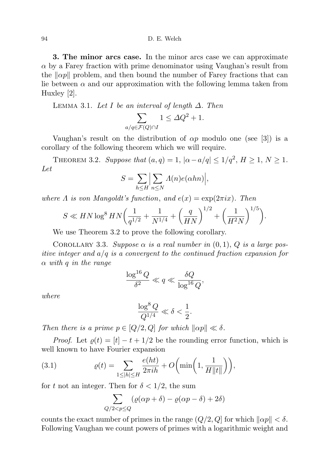3. The minor arcs case. In the minor arcs case we can approximate  $\alpha$  by a Farey fraction with prime denominator using Vaughan's result from the  $\|\alpha p\|$  problem, and then bound the number of Farey fractions that can lie between  $\alpha$  and our approximation with the following lemma taken from Huxley [2].

LEMMA 3.1. Let I be an interval of length  $\Delta$ . Then

$$
\sum_{a/q \in \mathcal{F}(Q) \cap I} 1 \le \Delta Q^2 + 1.
$$

Vaughan's result on the distribution of  $\alpha p$  modulo one (see [3]) is a corollary of the following theorem which we will require.

THEOREM 3.2. Suppose that  $(a,q) = 1$ ,  $|\alpha - a/q| \leq 1/q^2$ ,  $H \geq 1$ ,  $N \geq 1$ . Let

$$
S = \sum_{h \le H} \Big| \sum_{n \le N} \Lambda(n) e(\alpha h n) \Big|,
$$

where  $\Lambda$  is von Mangoldt's function, and  $e(x) = \exp(2\pi i x)$ . Then

$$
S \ll HN \log^8 HN \left( \frac{1}{q^{1/2}} + \frac{1}{N^{1/4}} + \left( \frac{q}{HN} \right)^{1/2} + \left( \frac{1}{H^2N} \right)^{1/5} \right).
$$

We use Theorem 3.2 to prove the following corollary.

COROLLARY 3.3. Suppose  $\alpha$  is a real number in  $(0,1)$ , Q is a large positive integer and  $a/q$  is a convergent to the continued fraction expansion for  $\alpha$  with q in the range

$$
\frac{\log^{16}Q}{\delta^2}\ll q\ll \frac{\delta Q}{\log^{16}Q},
$$

where

$$
\frac{\log^8 Q}{Q^{1/4}} \ll \delta < \frac{1}{2}.
$$

Then there is a prime  $p \in [Q/2, Q]$  for which  $\|\alpha p\| \ll \delta$ .

*Proof.* Let  $\rho(t) = [t] - t + 1/2$  be the rounding error function, which is well known to have Fourier expansion

(3.1) 
$$
\varrho(t) = \sum_{1 \le |h| \le H} \frac{e(ht)}{2\pi ih} + O\bigg(\min\bigg(1, \frac{1}{H||t||}\bigg)\bigg),
$$

for t not an integer. Then for  $\delta < 1/2$ , the sum

$$
\sum_{Q/2 < p \le Q} \left( \varrho(\alpha p + \delta) - \varrho(\alpha p - \delta) + 2\delta \right)
$$

counts the exact number of primes in the range  $(Q/2, Q]$  for which  $\|\alpha p\| < \delta$ . Following Vaughan we count powers of primes with a logarithmic weight and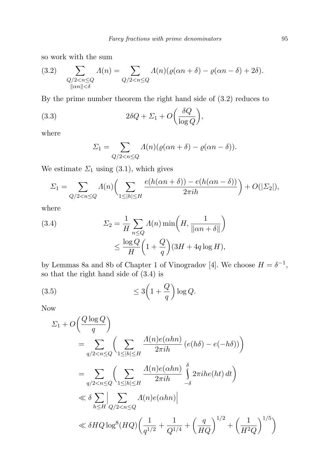so work with the sum

(3.2) 
$$
\sum_{\substack{Q/2 < n \le Q \\ \|\alpha n\| < \delta}} \Lambda(n) = \sum_{Q/2 < n \le Q} \Lambda(n) (\varrho(\alpha n + \delta) - \varrho(\alpha n - \delta) + 2\delta).
$$

By the prime number theorem the right hand side of (3.2) reduces to

(3.3) 
$$
2\delta Q + \Sigma_1 + O\left(\frac{\delta Q}{\log Q}\right),\,
$$

where

$$
\Sigma_1 = \sum_{Q/2 < n \le Q} \Lambda(n) (\varrho(\alpha n + \delta) - \varrho(\alpha n - \delta)).
$$

We estimate  $\Sigma_1$  using (3.1), which gives

$$
\Sigma_1 = \sum_{Q/2 < n \le Q} \Lambda(n) \bigg( \sum_{1 \le |h| \le H} \frac{e(h(\alpha n + \delta)) - e(h(\alpha n - \delta))}{2\pi i h} \bigg) + O(|\Sigma_2|),
$$

where

(3.4) 
$$
\Sigma_2 = \frac{1}{H} \sum_{n \leq Q} \Lambda(n) \min\left(H, \frac{1}{\|\alpha n + \delta\|}\right) \leq \frac{\log Q}{H} \left(1 + \frac{Q}{q}\right) (3H + 4q \log H),
$$

by Lemmas 8a and 8b of Chapter 1 of Vinogradov [4]. We choose  $H = \delta^{-1}$ , so that the right hand side of (3.4) is

≤ 3 1 + Q q (3.5) log Q.

Now

$$
\Sigma_1 + O\left(\frac{Q \log Q}{q}\right)
$$
\n
$$
= \sum_{q/2 < n \le Q} \left( \sum_{1 \le |h| \le H} \frac{A(n)e(\alpha h n)}{2\pi i h} \left( e(h\delta) - e(-h\delta) \right) \right)
$$
\n
$$
= \sum_{q/2 < n \le Q} \left( \sum_{1 \le |h| \le H} \frac{A(n)e(\alpha h n)}{2\pi i h} \int_{-\delta}^{\delta} 2\pi i h e(ht) \, dt \right)
$$
\n
$$
\ll \delta \sum_{h \le H} \left| \sum_{Q/2 < n \le Q} A(n)e(\alpha h n) \right|
$$
\n
$$
\ll \delta H Q \log^8(HQ) \left( \frac{1}{q^{1/2}} + \frac{1}{Q^{1/4}} + \left( \frac{q}{HQ} \right)^{1/2} + \left( \frac{1}{H^2Q} \right)^{1/5} \right)
$$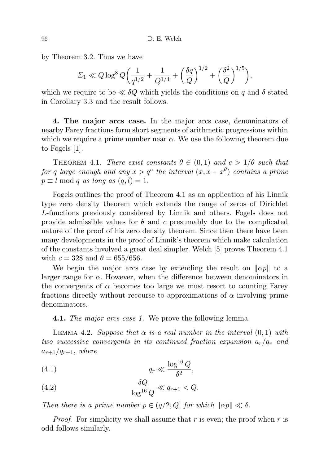by Theorem 3.2. Thus we have

$$
\Sigma_1 \ll Q \log^8 Q \left( \frac{1}{q^{1/2}} + \frac{1}{Q^{1/4}} + \left( \frac{\delta q}{Q} \right)^{1/2} + \left( \frac{\delta^2}{Q} \right)^{1/5} \right),\,
$$

which we require to be  $\ll \delta Q$  which yields the conditions on q and  $\delta$  stated in Corollary 3.3 and the result follows.

4. The major arcs case. In the major arcs case, denominators of nearby Farey fractions form short segments of arithmetic progressions within which we require a prime number near  $\alpha$ . We use the following theorem due to Fogels [1].

THEOREM 4.1. There exist constants  $\theta \in (0,1)$  and  $c > 1/\theta$  such that for q large enough and any  $x > q^c$  the interval  $(x, x + x^{\theta})$  contains a prime  $p \equiv l \mod q$  as long as  $(q, l) = 1$ .

Fogels outlines the proof of Theorem 4.1 as an application of his Linnik type zero density theorem which extends the range of zeros of Dirichlet L-functions previously considered by Linnik and others. Fogels does not provide admissible values for  $\theta$  and c presumably due to the complicated nature of the proof of his zero density theorem. Since then there have been many developments in the proof of Linnik's theorem which make calculation of the constants involved a great deal simpler. Welch [5] proves Theorem 4.1 with  $c = 328$  and  $\theta = 655/656$ .

We begin the major arcs case by extending the result on  $\|\alpha p\|$  to a larger range for  $\alpha$ . However, when the difference between denominators in the convergents of  $\alpha$  becomes too large we must resort to counting Farey fractions directly without recourse to approximations of  $\alpha$  involving prime denominators.

**4.1.** The major arcs case 1. We prove the following lemma.

LEMMA 4.2. Suppose that  $\alpha$  is a real number in the interval  $(0,1)$  with two successive convergents in its continued fraction expansion  $a_r/q_r$  and  $a_{r+1}/q_{r+1}$ , where

$$
(4.1) \t\t\t q_r \ll \frac{\log^{16} Q}{\delta^2},
$$

(4.2) 
$$
\frac{\delta Q}{\log^{16} Q} \ll q_{r+1} < Q.
$$

Then there is a prime number  $p \in (q/2, Q]$  for which  $\|\alpha p\| \ll \delta$ .

*Proof.* For simplicity we shall assume that r is even; the proof when r is odd follows similarly.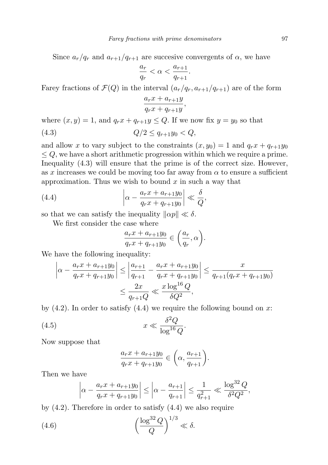Since  $a_r/q_r$  and  $a_{r+1}/q_{r+1}$  are succesive convergents of  $\alpha$ , we have

$$
\frac{a_r}{q_r} < \alpha < \frac{a_{r+1}}{q_{r+1}}.
$$

Farey fractions of  $\mathcal{F}(Q)$  in the interval  $(a_r/q_r, a_{r+1}/q_{r+1})$  are of the form

$$
\frac{a_rx + a_{r+1}y}{q_rx + q_{r+1}y},
$$

where  $(x, y) = 1$ , and  $q_r x + q_{r+1} y \leq Q$ . If we now fix  $y = y_0$  so that

$$
(4.3) \tQ/2 \le q_{r+1}y_0 < Q,
$$

and allow x to vary subject to the constraints  $(x, y_0) = 1$  and  $q_r x + q_{r+1} y_0$  $\leq Q$ , we have a short arithmetic progression within which we require a prime. Inequality (4.3) will ensure that the prime is of the correct size. However, as x increases we could be moving too far away from  $\alpha$  to ensure a sufficient approximation. Thus we wish to bound  $x$  in such a way that

(4.4) 
$$
\left|\alpha - \frac{a_r x + a_{r+1} y_0}{q_r x + q_{r+1} y_0}\right| \ll \frac{\delta}{Q},
$$

so that we can satisfy the inequality  $\|\alpha p\| \ll \delta$ .

We first consider the case where

$$
\frac{a_rx + a_{r+1}y_0}{q_rx + q_{r+1}y_0} \in \left(\frac{a_r}{q_r}, \alpha\right).
$$

We have the following inequality:

$$
\left| \alpha - \frac{a_r x + a_{r+1} y_0}{q_r x + q_{r+1} y_0} \right| \le \left| \frac{a_{r+1}}{q_{r+1}} - \frac{a_r x + a_{r+1} y_0}{q_r x + q_{r+1} y_0} \right| \le \frac{x}{q_{r+1}(q_r x + q_{r+1} y_0)} \le \frac{2x}{q_{r+1} Q} \ll \frac{x \log^{16} Q}{\delta Q^2},
$$

by  $(4.2)$ . In order to satisfy  $(4.4)$  we require the following bound on x:

$$
(4.5) \t\t x \ll \frac{\delta^2 Q}{\log^{16} Q}.
$$

Now suppose that

$$
\frac{a_rx + a_{r+1}y_0}{q_rx + q_{r+1}y_0} \in \left(\alpha, \frac{a_{r+1}}{q_{r+1}}\right).
$$

Then we have

$$
\left|\alpha - \frac{a_r x + a_{r+1} y_0}{q_r x + q_{r+1} y_0}\right| \le \left|\alpha - \frac{a_{r+1}}{q_{r+1}}\right| \le \frac{1}{q_{r+1}^2} \ll \frac{\log^{32} Q}{\delta^2 Q^2},
$$

by (4.2). Therefore in order to satisfy (4.4) we also require

(4.6) 
$$
\left(\frac{\log^{32} Q}{Q}\right)^{1/3} \ll \delta.
$$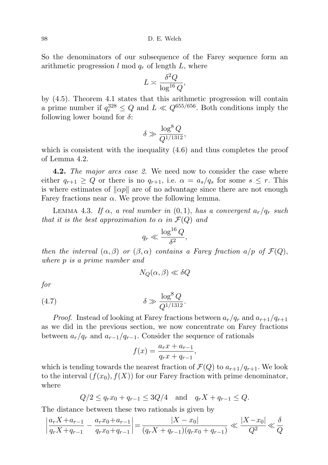98 D. E. Welch

So the denominators of our subsequence of the Farey sequence form an arithmetic progression  $l \mod q_r$  of length  $L$ , where

$$
L \asymp \frac{\delta^2 Q}{\log^{16} Q},
$$

by (4.5). Theorem 4.1 states that this arithmetic progression will contain a prime number if  $q_r^{328} \leq Q$  and  $L \ll Q^{655/656}$ . Both conditions imply the following lower bound for  $\delta$ :

$$
\delta \gg \frac{\log^8 Q}{Q^{1/1312}},
$$

which is consistent with the inequality (4.6) and thus completes the proof of Lemma 4.2.

**4.2.** The major arcs case 2. We need now to consider the case where either  $q_{r+1} \ge Q$  or there is no  $q_{r+1}$ , i.e.  $\alpha = a_s/q_s$  for some  $s \le r$ . This is where estimates of  $\|\alpha p\|$  are of no advantage since there are not enough Farey fractions near  $\alpha$ . We prove the following lemma.

LEMMA 4.3. If  $\alpha$ , a real number in  $(0, 1)$ , has a convergent  $a_r/q_r$  such that it is the best approximation to  $\alpha$  in  $\mathcal{F}(Q)$  and

$$
q_r \ll \frac{\log^{16} Q}{\delta^2},
$$

then the interval  $(\alpha, \beta)$  or  $(\beta, \alpha)$  contains a Farey fraction a/p of  $\mathcal{F}(Q)$ , where p is a prime number and

$$
N_Q(\alpha,\beta)\ll \delta Q
$$

for

(4.7) 
$$
\delta \gg \frac{\log^8 Q}{Q^{1/1312}}.
$$

*Proof.* Instead of looking at Farey fractions between  $a_r/q_r$  and  $a_{r+1}/q_{r+1}$ as we did in the previous section, we now concentrate on Farey fractions between  $a_r/q_r$  and  $a_{r-1}/q_{r-1}$ . Consider the sequence of rationals

$$
f(x) = \frac{a_r x + a_{r-1}}{q_r x + q_{r-1}},
$$

which is tending towards the nearest fraction of  $\mathcal{F}(Q)$  to  $a_{r+1}/q_{r+1}$ . We look to the interval  $(f(x_0), f(X))$  for our Farey fraction with prime denominator, where

$$
Q/2 \le q_r x_0 + q_{r-1} \le 3Q/4
$$
 and  $q_r X + q_{r-1} \le Q$ .

The distance between these two rationals is given by

$$
\left| \frac{a_r X + a_{r-1}}{q_r X + q_{r-1}} - \frac{a_r x_0 + a_{r-1}}{q_r x_0 + q_{r-1}} \right| = \frac{|X - x_0|}{(q_r X + q_{r-1})(q_r x_0 + q_{r-1})} \ll \frac{|X - x_0|}{Q^2} \ll \frac{\delta}{Q}
$$